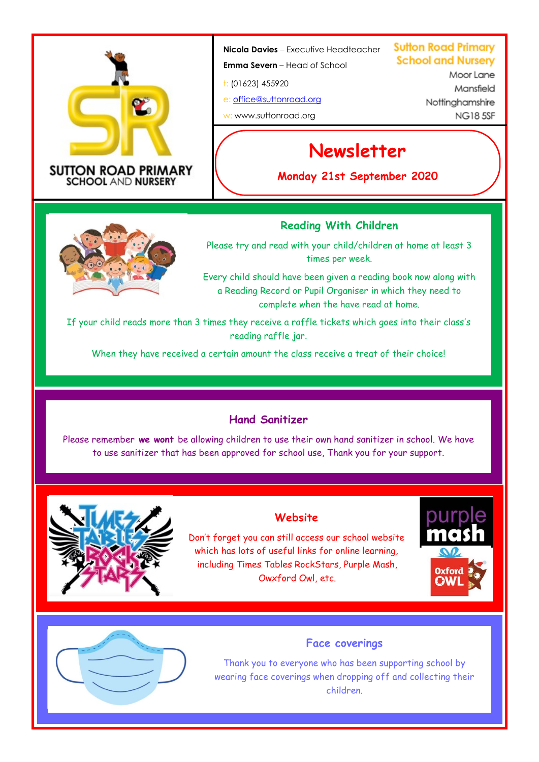

#### **SUTTON ROAD PRIMARY SCHOOL AND NURSERY**

#### **Nicola Davies** – Executive Headteacher

**Emma Severn** – Head of School

t: (01623) 455920

e: [office@suttonroad.org](mailto:office@suttonroad.org) w: www.suttonroad.org

**Sutton Road Primary School and Nurserv** 

> Moor Lane Mansfield Nottinghamshire **NG185SE**

# **Newsletter**

**Monday 21st September 2020**

# **Reading With Children**

Please try and read with your child/children at home at least 3 times per week.

Every child should have been given a reading book now along with a Reading Record or Pupil Organiser in which they need to complete when the have read at home.

If your child reads more than 3 times they receive a raffle tickets which goes into their class's reading raffle jar.

When they have received a certain amount the class receive a treat of their choice!

## **Hand Sanitizer**

Please remember **we wont** be allowing children to use their own hand sanitizer in school. We have to use sanitizer that has been approved for school use, Thank you for your support.



# **Website**

Don't forget you can still access our school website which has lots of useful links for online learning, including Times Tables RockStars, Purple Mash, Owxford Owl, etc.





#### **Face coverings**

Thank you to everyone who has been supporting school by wearing face coverings when dropping off and collecting their children.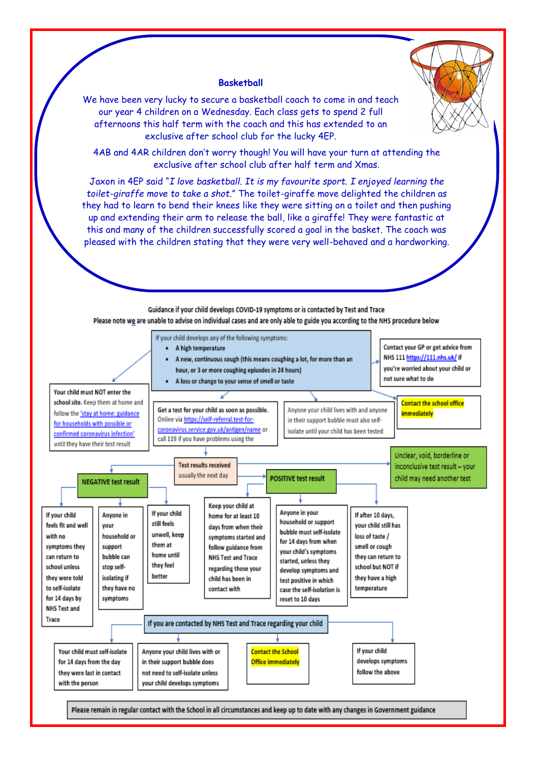

#### **Basketball**

We have been very lucky to secure a basketball coach to come in and teach our year 4 children on a Wednesday. Each class gets to spend 2 full afternoons this half term with the coach and this has extended to an exclusive after school club for the lucky 4EP.

4AB and 4AR children don't worry though! You will have your turn at attending the exclusive after school club after half term and Xmas.

Jaxon in 4EP said "*I love basketball*. *It is my favourite sport. I enjoyed learning the toilet-giraffe move to take a shot*." The toilet-giraffe move delighted the children as they had to learn to bend their knees like they were sitting on a toilet and then pushing up and extending their arm to release the ball, like a giraffe! They were fantastic at this and many of the children successfully scored a goal in the basket. The coach was pleased with the children stating that they were very well-behaved and a hardworking.



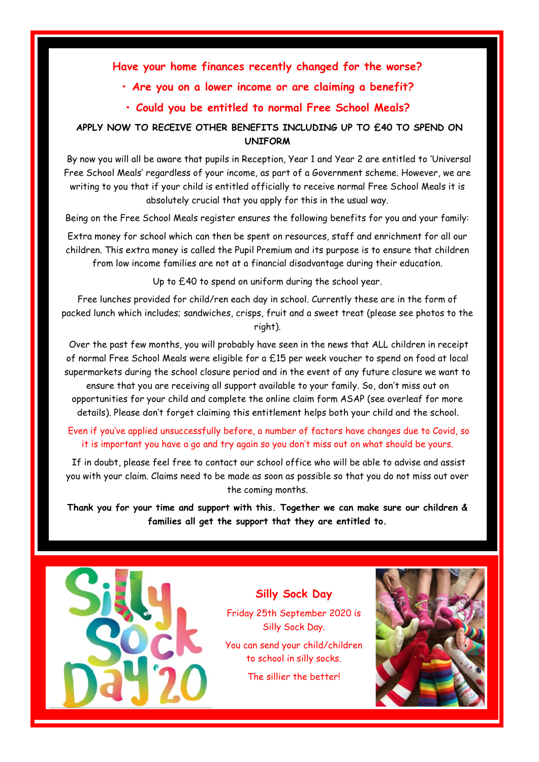#### **Have your home finances recently changed for the worse?**

#### **• Are you on a lower income or are claiming a benefit?**

#### **• Could you be entitled to normal Free School Meals?**

#### **APPLY NOW TO RECEIVE OTHER BENEFITS INCLUDING UP TO £40 TO SPEND ON UNIFORM**

By now you will all be aware that pupils in Reception, Year 1 and Year 2 are entitled to 'Universal Free School Meals' regardless of your income, as part of a Government scheme. However, we are writing to you that if your child is entitled officially to receive normal Free School Meals it is absolutely crucial that you apply for this in the usual way.

Being on the Free School Meals register ensures the following benefits for you and your family:

Extra money for school which can then be spent on resources, staff and enrichment for all our children. This extra money is called the Pupil Premium and its purpose is to ensure that children from low income families are not at a financial disadvantage during their education.

Up to £40 to spend on uniform during the school year.

Free lunches provided for child/ren each day in school. Currently these are in the form of packed lunch which includes; sandwiches, crisps, fruit and a sweet treat (please see photos to the right).

Over the past few months, you will probably have seen in the news that ALL children in receipt of normal Free School Meals were eligible for a £15 per week voucher to spend on food at local supermarkets during the school closure period and in the event of any future closure we want to ensure that you are receiving all support available to your family. So, don't miss out on opportunities for your child and complete the online claim form ASAP (see overleaf for more details). Please don't forget claiming this entitlement helps both your child and the school.

#### Even if you've applied unsuccessfully before, a number of factors have changes due to Covid, so it is important you have a go and try again so you don't miss out on what should be yours.

If in doubt, please feel free to contact our school office who will be able to advise and assist you with your claim. Claims need to be made as soon as possible so that you do not miss out over the coming months.

**Thank you for your time and support with this. Together we can make sure our children & families all get the support that they are entitled to.** 



### **Silly Sock Day**

Friday 25th September 2020 is Silly Sock Day.

You can send your child/children to school in silly socks.

The sillier the better!